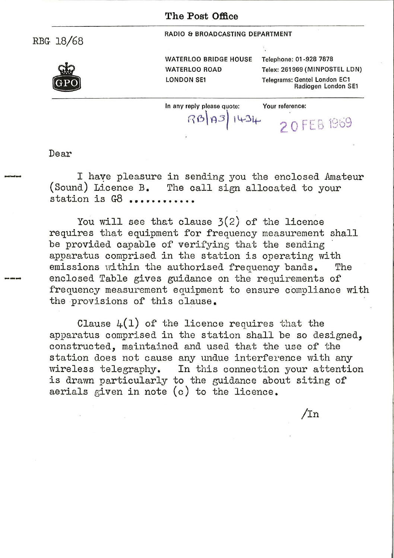## **The Post Office**

RBG- 18/68

RADIO & BROADCASTING DEPARTMENT



WATERLOO BRIDGE HOUSE Telephone: 01-928 7878 WATERLOO ROAD Telex: 261969 (MINPOSTEL LDN) LONDON SE1 Telegrams: Gentel London EC1 Radiogen London SE1

In any reply please quote: Your reference:<br>  $\left[\bigcap_{i=1}^{\infty} A_i\right]$  i  $\left[\bigcup_{i=1}^{\infty} A_i\right]$ **RB 83** 1434 2 O FEB 1969

Dear

I haye pleasure in sending you the enclosed Amateur (Sound) Licence B. The call sign allocated to your station is G8 .........

You will see that clause  $3(2)$  of the licence requires that equipment for frequency measurement shall be provided capable of verifying that the sending apparatus comprised in the station is operating with<br>emissions within the authorised frequency bands. The emissions within the authorised frequency bands. enclosed Table gives guidance on the requirements of frequency measurement equipment to ensure compliance with the provisions of this clause.

Clause  $4(1)$  of the licence requires that the apparatus comprised in the station shall be so designed, constructed, maintained and used that the use of the station does not cause any undue interference with any wireless telegraphy. In this connection your attention is drawn particularly to the guidance about siting of aerials given in note (c) to the licence.

/In